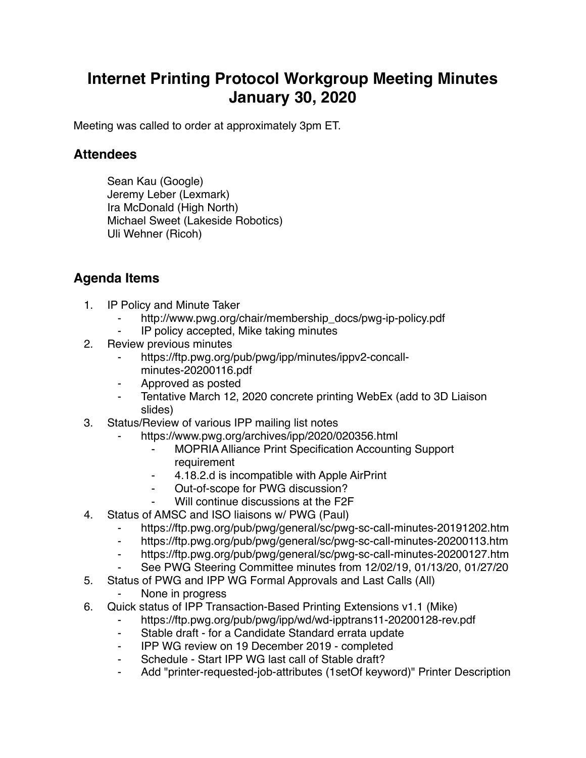## **Internet Printing Protocol Workgroup Meeting Minutes January 30, 2020**

Meeting was called to order at approximately 3pm ET.

## **Attendees**

Sean Kau (Google) Jeremy Leber (Lexmark) Ira McDonald (High North) Michael Sweet (Lakeside Robotics) Uli Wehner (Ricoh)

## **Agenda Items**

- 1. IP Policy and Minute Taker
	- http://www.pwg.org/chair/membership\_docs/pwg-ip-policy.pdf
	- ⁃ IP policy accepted, Mike taking minutes
- 2. Review previous minutes
	- https://ftp.pwg.org/pub/pwg/ipp/minutes/ippv2-concallminutes-20200116.pdf
	- ⁃ Approved as posted
	- ⁃ Tentative March 12, 2020 concrete printing WebEx (add to 3D Liaison slides)
- 3. Status/Review of various IPP mailing list notes
	- https://www.pwg.org/archives/ipp/2020/020356.html
		- **MOPRIA Alliance Print Specification Accounting Support** requirement
		- ⁃ 4.18.2.d is incompatible with Apple AirPrint
		- ⁃ Out-of-scope for PWG discussion?
		- Will continue discussions at the F2F
- 4. Status of AMSC and ISO liaisons w/ PWG (Paul)
	- ⁃ https://ftp.pwg.org/pub/pwg/general/sc/pwg-sc-call-minutes-20191202.htm
	- ⁃ https://ftp.pwg.org/pub/pwg/general/sc/pwg-sc-call-minutes-20200113.htm
	- ⁃ https://ftp.pwg.org/pub/pwg/general/sc/pwg-sc-call-minutes-20200127.htm
	- See PWG Steering Committee minutes from 12/02/19, 01/13/20, 01/27/20
- 5. Status of PWG and IPP WG Formal Approvals and Last Calls (All)
	- None in progress
- 6. Quick status of IPP Transaction-Based Printing Extensions v1.1 (Mike)
	- https://ftp.pwg.org/pub/pwg/ipp/wd/wd-ipptrans11-20200128-rev.pdf
	- ⁃ Stable draft for a Candidate Standard errata update
	- ⁃ IPP WG review on 19 December 2019 completed
	- Schedule Start IPP WG last call of Stable draft?
	- Add "printer-requested-job-attributes (1setOf keyword)" Printer Description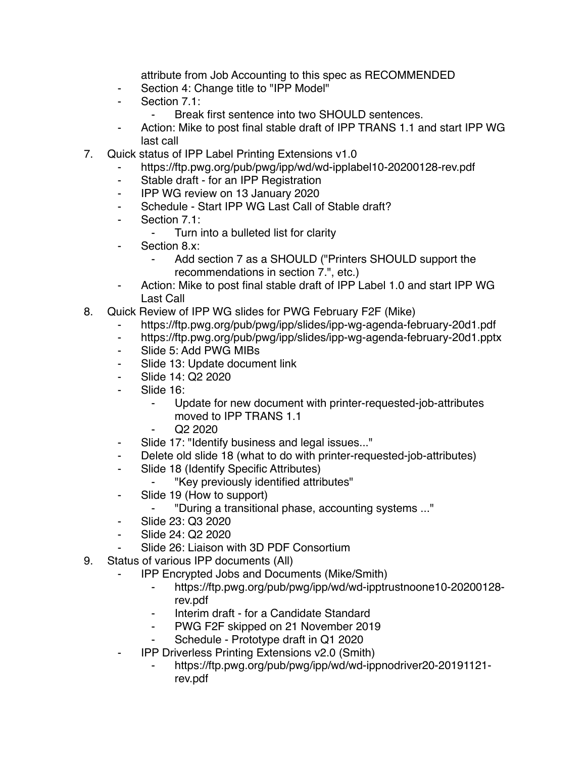attribute from Job Accounting to this spec as RECOMMENDED

- ⁃ Section 4: Change title to "IPP Model"
- ⁃ Section 7.1:
	- ⁃ Break first sentence into two SHOULD sentences.
- ⁃ Action: Mike to post final stable draft of IPP TRANS 1.1 and start IPP WG last call
- 7. Quick status of IPP Label Printing Extensions v1.0
	- https://ftp.pwg.org/pub/pwg/ipp/wd/wd-ipplabel10-20200128-rev.pdf
	- ⁃ Stable draft for an IPP Registration
	- ⁃ IPP WG review on 13 January 2020
	- Schedule Start IPP WG Last Call of Stable draft?
	- ⁃ Section 7.1:
		- ⁃ Turn into a bulleted list for clarity
	- Section 8.x:
		- Add section 7 as a SHOULD ("Printers SHOULD support the recommendations in section 7.", etc.)
	- Action: Mike to post final stable draft of IPP Label 1.0 and start IPP WG Last Call
- 8. Quick Review of IPP WG slides for PWG February F2F (Mike)
	- https://ftp.pwg.org/pub/pwg/ipp/slides/ipp-wg-agenda-february-20d1.pdf
	- ⁃ https://ftp.pwg.org/pub/pwg/ipp/slides/ipp-wg-agenda-february-20d1.pptx
	- ⁃ Slide 5: Add PWG MIBs
	- Slide 13: Update document link
	- ⁃ Slide 14: Q2 2020
	- Slide 16:
		- Update for new document with printer-requested-job-attributes moved to IPP TRANS 1.1
		- ⁃ Q2 2020
	- ⁃ Slide 17: "Identify business and legal issues..."
	- ⁃ Delete old slide 18 (what to do with printer-requested-job-attributes)
	- ⁃ Slide 18 (Identify Specific Attributes)
		- ⁃ "Key previously identified attributes"
	- Slide 19 (How to support)
		- ⁃ "During a transitional phase, accounting systems ..."
	- ⁃ Slide 23: Q3 2020
	- Slide 24: Q2 2020
	- Slide 26: Liaison with 3D PDF Consortium
- 9. Status of various IPP documents (All)
	- **IPP Encrypted Jobs and Documents (Mike/Smith)** 
		- ⁃ https://ftp.pwg.org/pub/pwg/ipp/wd/wd-ipptrustnoone10-20200128 rev.pdf
		- ⁃ Interim draft for a Candidate Standard
		- PWG F2F skipped on 21 November 2019
		- Schedule Prototype draft in Q1 2020
	- ⁃ IPP Driverless Printing Extensions v2.0 (Smith)
		- ⁃ https://ftp.pwg.org/pub/pwg/ipp/wd/wd-ippnodriver20-20191121 rev.pdf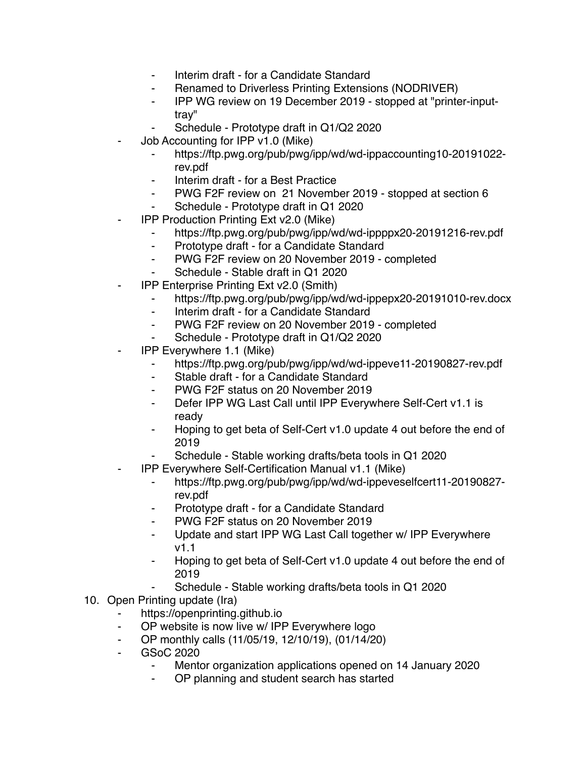- ⁃ Interim draft for a Candidate Standard
- Renamed to Driverless Printing Extensions (NODRIVER)
- ⁃ IPP WG review on 19 December 2019 stopped at "printer-inputtray"
- Schedule Prototype draft in Q1/Q2 2020
- Job Accounting for IPP v1.0 (Mike)
	- ⁃ https://ftp.pwg.org/pub/pwg/ipp/wd/wd-ippaccounting10-20191022 rev.pdf
	- Interim draft for a Best Practice
	- ⁃ PWG F2F review on 21 November 2019 stopped at section 6
	- ⁃ Schedule Prototype draft in Q1 2020
- **IPP Production Printing Ext v2.0 (Mike)** 
	- https://ftp.pwg.org/pub/pwg/ipp/wd/wd-ippppx20-20191216-rev.pdf
	- ⁃ Prototype draft for a Candidate Standard
	- ⁃ PWG F2F review on 20 November 2019 completed
	- Schedule Stable draft in Q1 2020
- **IPP Enterprise Printing Ext v2.0 (Smith)** 
	- ⁃ https://ftp.pwg.org/pub/pwg/ipp/wd/wd-ippepx20-20191010-rev.docx
	- ⁃ Interim draft for a Candidate Standard
	- ⁃ PWG F2F review on 20 November 2019 completed
	- Schedule Prototype draft in Q1/Q2 2020
- **IPP Everywhere 1.1 (Mike)** 
	- https://ftp.pwg.org/pub/pwg/ipp/wd/wd-ippeve11-20190827-rev.pdf
	- ⁃ Stable draft for a Candidate Standard
	- ⁃ PWG F2F status on 20 November 2019
	- ⁃ Defer IPP WG Last Call until IPP Everywhere Self-Cert v1.1 is ready
	- Hoping to get beta of Self-Cert v1.0 update 4 out before the end of 2019
	- Schedule Stable working drafts/beta tools in Q1 2020
	- ⁃ IPP Everywhere Self-Certification Manual v1.1 (Mike)
		- ⁃ https://ftp.pwg.org/pub/pwg/ipp/wd/wd-ippeveselfcert11-20190827 rev.pdf
		- Prototype draft for a Candidate Standard
		- ⁃ PWG F2F status on 20 November 2019
		- Update and start IPP WG Last Call together w/ IPP Everywhere v1.1
		- Hoping to get beta of Self-Cert v1.0 update 4 out before the end of 2019
			- Schedule Stable working drafts/beta tools in Q1 2020
- 10. Open Printing update (Ira)
	- https://openprinting.github.io
	- OP website is now live w/ IPP Everywhere logo
	- ⁃ OP monthly calls (11/05/19, 12/10/19), (01/14/20)
	- ⁃ GSoC 2020
		- Mentor organization applications opened on 14 January 2020
		- OP planning and student search has started